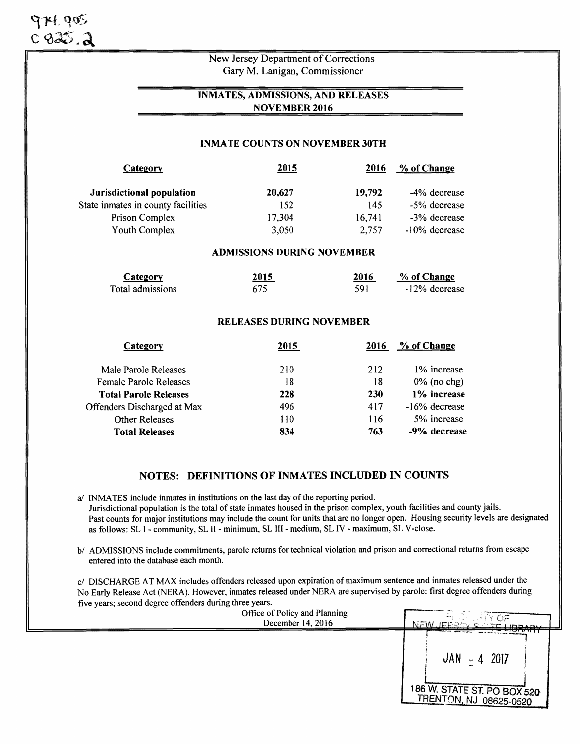| $974.905$<br>$0.935.2$ |                                    |                                       |        |              |
|------------------------|------------------------------------|---------------------------------------|--------|--------------|
|                        |                                    | New Jersey Department of Corrections  |        |              |
|                        |                                    | Gary M. Lanigan, Commissioner         |        |              |
|                        |                                    | INMATES, ADMISSIONS, AND RELEASES     |        |              |
|                        |                                    | <b>NOVEMBER 2016</b>                  |        |              |
|                        |                                    | <b>INMATE COUNTS ON NOVEMBER 30TH</b> |        |              |
|                        |                                    |                                       |        |              |
|                        | Category                           | 2015                                  | 2016   | % of Change  |
|                        | Jurisdictional population          | 20,627                                | 19,792 | -4% decrease |
|                        | State inmates in county facilities | 152                                   | 145    | -5% decrease |
|                        | Prison Complex                     | 17,304                                | 16,741 | -3% decrease |

## ADMISSIONS DURING NOVEMBER

| Category         | 2015 | 2016 | % of Change   |
|------------------|------|------|---------------|
| Total admissions | 675  | 591  | -12% decrease |

#### RELEASES DURING NOVEMBER

| Category                     | 2015 | 2016       | % of Change    |
|------------------------------|------|------------|----------------|
| Male Parole Releases         | 210  | 212        | 1% increase    |
| Female Parole Releases       | 18   | 18         | $0\%$ (no chg) |
| <b>Total Parole Releases</b> | 228  | <b>230</b> | 1% increase    |
| Offenders Discharged at Max  | 496  | 417        | -16% decrease  |
| <b>Other Releases</b>        | 110  | 116        | 5% increase    |
| <b>Total Releases</b>        | 834  | 763        | -9% decrease   |

# NOTES: DEFINITIONS OF INMATES INCLUDED IN COUNTS

a/ INMATES include inmates in institutions on the last day of the reporting period. Jurisdictional population is the total of state inmates housed in the prison complex, youth facilities and county jails. Past counts for major institutions may include the count for units that are no longer open. Housing security levels are designated as follows: SL I - community, SL II - minimum, SL III - medium, SL IV - maximum, SL V -close.

b/ ADMISSIONS include commitments, parole returns for technical violation and prison and correctional returns from escape entered into the database each month.

c/ DISCHARGE AT MAX includes offenders released upon expiration of maximum sentence and inmates released under the No Early Release Act (NERA). However, inmates released under NERA are supervised by parole: first degree offenders during five years; second degree offenders during three years.

| Office of Policy and Planning | <sup>29</sup> CELERY OF                                                                                       |
|-------------------------------|---------------------------------------------------------------------------------------------------------------|
| December 14, 2016             | N QANTE LIBBABV                                                                                               |
|                               | <b>STATISTICS SECTION IN CASE </b><br>$JAN - 4$ 2017<br>186 W. STATE ST. PO BOX 520<br>TRENTON, NJ 08625-0520 |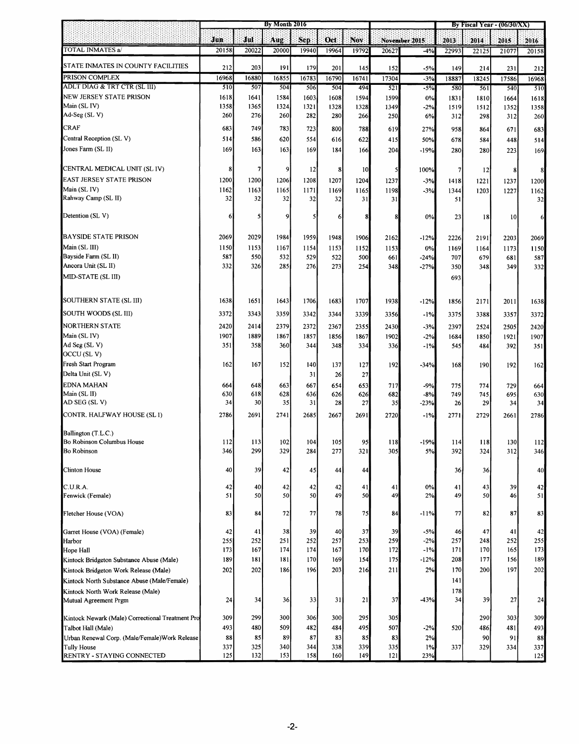|                                                  | By Month 2016 |              |              |              |              |              |              | By Fiscal Year - (06/30/XX) |                |              |              |              |
|--------------------------------------------------|---------------|--------------|--------------|--------------|--------------|--------------|--------------|-----------------------------|----------------|--------------|--------------|--------------|
|                                                  | Jun           | Jul          | A ug         | Sep.         | Oct          | Nov          |              | November 2015               | 2013           | 2014.        | 2015         | 2016         |
| TOTAL INMATES a/                                 | 20158         | 20022        | 20000        | 19940        | 19964        | 19792        | 20627        | -4%                         | 22993          | 22125        | 21077        | 20158        |
| STATE INMATES IN COUNTY FACILITIES               |               |              |              |              |              |              |              |                             |                |              |              |              |
| PRISON COMPLEX                                   | 212<br>16968  | 203<br>16880 | 191<br>16855 | 179<br>16783 | 201<br>16790 | 145<br>16741 | 152<br>17304 | $-5%$<br>$-3%$              | 149<br>18887   | 214<br>18245 | 231<br>17586 | 212<br>16968 |
| ADLT DIAG & TRT CTR (SL III)                     | 510           | 507          | 504          | 506          | 504          | 494          | 521          | $-5\%$                      | 580            | 561          | 540          | 510          |
| NEW JERSEY STATE PRISON                          | 1618          | 1641         | 1584         | 1603         | 1608         | 1594         | 1599         | 0%                          | 1831           | 1810         | 1664         |              |
| Main (SL IV)                                     | 1358          | 1365         | 1324         | 1321         | 1328         | 1328         | 1349         | $-2%$                       | 1519           | 1512         | 1352         | 1618<br>1358 |
| Ad-Seg (SL V)                                    | 260           | 276          | 260          | 282          | 280          | 266          | 250          | 6%                          | 312            | 298          | 312          | 260          |
| CRAF                                             |               |              |              |              |              |              |              |                             |                |              |              |              |
|                                                  | 683           | 749          | 783          | 723          | 800          | 788          | 619          | 27%                         | 958            | 864          | 671          | 683          |
| Central Reception (SL V)                         | 514           | 586          | 620          | 554          | 616          | 622          | 415          | 50%                         | 678            | 584          | 448          | 514          |
| Jones Farm (SL II)                               | 169           | 163          | 163          | 169          | 184          | 166          | 204          | -19%                        | 280            | 280          | 223          | 169          |
| CENTRAL MEDICAL UNIT (SL IV)                     | 8             | 7            | 9            | 12           | 8            | 10           | 5            | 100%                        | $\overline{7}$ | 12           | 8            | 8            |
| EAST JERSEY STATE PRISON                         | 1200          | 1200         | 1206         | 1208         | 1207         | 1204         | 1237         | $-3%$                       | 1418           | 1221         | 1237         | 1200         |
| Main (SL IV)                                     | 1162          | 1163         | 1165         | 1171         | 1169         | 1165         | 1198         | $-3%$                       | 1344           | 1203         | 1227         | 1162         |
| Rahway Camp (SL II)                              | 32            | 32           | 32           | 32           | 32           | 31           | 31           |                             | 51             |              |              | 32           |
| Detention (SL V)                                 | 6             | 5            | 9            | $\mathsf{s}$ | 6            | 8            | 8            | 0%                          | 23             | 18           | 10           | 6            |
| <b>BAYSIDE STATE PRISON</b>                      | 2069          | 2029         | 1984         | 1959         | 1948         | 1906         | 2162         |                             |                | 2191         |              |              |
| Main (SL III)                                    | 1150          | 1153         | 1167         |              |              |              |              | $-12%$                      | 2226           |              | 2203         | 2069         |
| Bayside Farm (SL II)                             | 587           | 550          | 532          | 1154<br>529  | 1153<br>522  | 1152<br>500  | 1153<br>661  | 0%<br>$-24%$                | 1169<br>707    | 1164<br>679  | 1173<br>681  | 1150<br>587  |
| Ancora Unit (SL II)                              | 332           | 326          | 285          | 276          | 273          | 254          | 348          | $-27%$                      | 350            | 348          | 349          | 332          |
| MID-STATE (SL III)                               |               |              |              |              |              |              |              |                             |                |              |              |              |
|                                                  |               |              |              |              |              |              |              |                             | 693            |              |              |              |
| SOUTHERN STATE (SL III)                          | 1638          | 1651         | 1643         | 1706         | 1683         | 1707         | 1938         | $-12%$                      | 1856           | 2171         | 2011         | 1638         |
| SOUTH WOODS (SL III)                             | 3372          | 3343         | 3359         | 3342         | 3344         | 3339         | 3356         | $-1%$                       | 3375           | 3388         | 3357         | 3372         |
| NORTHERN STATE                                   | 2420          | 2414         | 2379         | 2372         | 2367         | 2355         | 2430         | $-3%$                       | 2397           | 2524         | 2505         | 2420         |
| Main (SL IV)                                     | 1907          | 1889         | 1867         | 1857         | 1856         | 1867         | 1902         | $-2%$                       | 1684           | 1850         | 1921         | 1907         |
| Ad Seg (SL V)                                    | 351           | 358          | 360          | 344          | 348          | 334          | 336          | $-1%$                       | 545            | 484          | 392          | 351          |
| OCCU (SLV)                                       |               |              |              |              |              |              |              |                             |                |              |              |              |
| Fresh Start Program                              | 162           | 167          | 152          | 140          | 137          | 127          | 192          | $-34%$                      | 168            | 190          | 192          | 162          |
| Delta Unit (SL V)                                |               |              |              | 31           | 26           | 27           |              |                             |                |              |              |              |
| <b>EDNA MAHAN</b>                                | 664           | 648          | 663          | 667          | 654          | 653          | 717          | $-9%$                       | 775            | 774          | 729          | 664          |
| Main (SL II)                                     | 630           | 618          | 628          | 636          | 626          | 626          | 682          | $-8%$                       | 749            | 745          | 695          | 630          |
| AD SEG (SLV)                                     | 34            | 30           | 35           | 31           | 28           | 27           | 35           | $-23%$                      | 26             | 29           | 34           | 34           |
| CONTR. HALFWAY HOUSE (SL I)                      | 2786          | 2691         | 2741         | 2685         | 2667         | 2691         | 2720         | -1%                         | 2771           | 2729         | 2661         | 2786         |
| Ballington (T.L.C.)                              |               |              |              |              |              |              |              |                             |                |              |              |              |
| Bo Robinson Columbus House                       | 112           | 113          | 102          | 104          | 105          | 95           | 118          | $-19%$                      | 114            | 118          | 130          | 112          |
| <b>Bo Robinson</b>                               | 346           | 299          | 329          | 284          | 277          | 321          | 305          | 5%                          | 392            | 324          | 312          | 346          |
| Clinton House                                    | 40            | 39           | 42           | 45           | 44           | 44           |              |                             | 36             | 36           |              | 40           |
| C.U.R.A.                                         | 42            | 40           | 42           | 42           | 42           | 41           | 41           | $0\%$                       | 41             | 43           | 39           | 42           |
| Fenwick (Female)                                 | 51            | 50           | 50           | 50           | 49           | 50           | 49           | 2%                          | 49             | 50           | 46           | 51           |
| Fletcher House (VOA)                             | 83            | 84           | 72           | 77           | 78           | 75           | 84           | -11%                        | 77             | 82           | 87           | 83           |
| Garret House (VOA) (Female)                      | 42            | 41           | 38           | 39           | 40           | 37           | 39           | $-5%$                       | 46             | 47           | 41           | 42           |
| Harbor                                           | 255           | 252          | 251          | 252          | 257          | 253          | 259          | $-2%$                       | 257            | 248          | 252          | 255          |
| Hope Hall                                        | 173           | 167          | 174          | 174          | 167          | 170          | 172          | $-1\%$                      | 171            | 170          | 165          | 173          |
| Kintock Bridgeton Substance Abuse (Male)         | 189           | 181          | 181          | 170          | 169          | 154          | 175          | $-12%$                      | 208            | 177          | 156          | 189          |
| Kintock Bridgeton Work Release (Male)            | 202           | 202          | 186          | 196          | 203          | 216          | 211          | 2%                          | 170            | 200          | 197          | 202          |
| Kintock North Substance Abuse (Male/Female)      |               |              |              |              |              |              |              |                             | 141            |              |              |              |
| Kintock North Work Release (Male)                |               |              |              |              |              |              |              |                             | 178            |              |              |              |
| Mutual Agreement Prgm                            | 24            | 34           | 36           | 33           | 31           | 21           | 37           | $-43%$                      | 34             | 39           | 27           | 24           |
| Kintock Newark (Male) Correctional Treatment Pro | 309           | 299          | 300          | 306          | 300          | 295          | 305          |                             |                | 290          | 303          | 309          |
| Talbot Hall (Male)                               | 493           | 480          | 509          | 482          | 484          | 495          | 507          | $-2%$                       | 520            | 486          | 481          | 493          |
| Urban Renewal Corp. (Male/Female) Work Release   | 88            | 85           | 89           | 87           | 83           | 85           | 83           | 2%                          |                | 90           | 91           | 88           |
| <b>Tully House</b>                               | 337           | 325          | 340          | 344          | 338          | 339          | 335          | 1%                          | 337            | 329          | 334          | 337          |
| RENTRY - STAYING CONNECTED                       | 125           | 132          | 153          | 158          | 160          | 149          | 121          | 23%                         |                |              |              | 125          |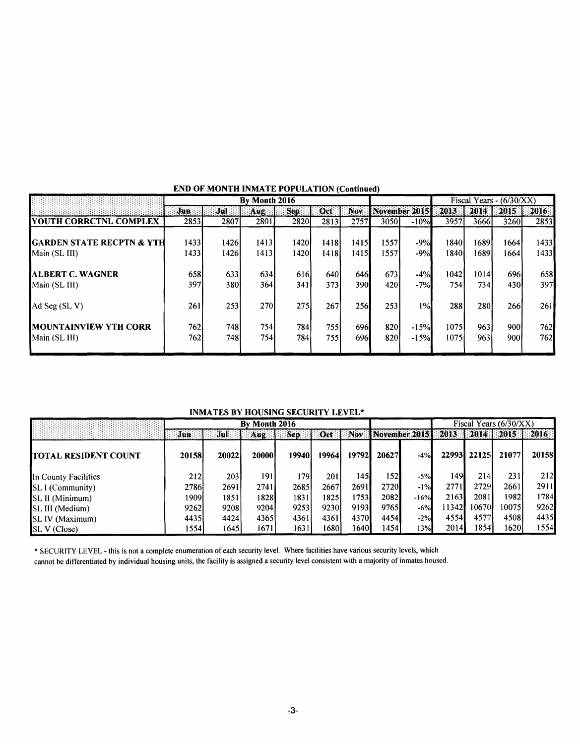|                                                | By Month 2016 |              |              |                         |               |                  |               |                  | Fiscal Years - $(6/30/XX)$ |               |              |              |
|------------------------------------------------|---------------|--------------|--------------|-------------------------|---------------|------------------|---------------|------------------|----------------------------|---------------|--------------|--------------|
|                                                | Jun           | Jul          | Aug:         | Sep.                    | Oct           | Nov <sup>.</sup> |               | November 2015 !! | 2013                       | 2014          | 2015.        | 2016         |
| <b>IYOUTH CORRCTNL COMPLEX</b>                 | 2853          | 2807         | 2801         | <b>2820</b>             | 2813          | 2757             | 3050l         | $-10%$           | 3957                       | 36661         | 3260         | 2853         |
| IGARDEN STATE RECPTN & YTH<br>Main (SL III)    | 1433<br>1433  | 1426<br>1426 | 1413<br>1413 | 1420<br>14201           | 1418<br>1418I | 1415<br>1415     | 1557<br>15571 | $-9%$<br>$-9%$   | 18401<br>1840              | 1689<br>1689  | 1664<br>1664 | 1433<br>1433 |
| <b>IALBERT C. WAGNER</b><br>Main (SL III)      | 658<br>397I   | 633<br>380I  | 634<br>364   | 616 <sup>1</sup><br>341 | 640<br>373    | 646<br>390I      | 673<br>4201   | $-4%$<br>$-7%$   | 1042<br>754 I              | 1014<br>734 I | 696<br>430I  | 658<br>397   |
| Ad Seg (SL V)                                  | 261           | 253          | 270l         | 275                     | 267           | 256              | 253           | 1%               | 288                        | 280           | <b>2661</b>  | 261          |
| <b>IMOUNTAINVIEW YTH CORR</b><br>Main (SL III) | 762<br>762    | 748<br>748I  | 754<br>7541  | 784<br>7841             | 755<br>7551   | 696I<br>696I     | 820<br>820    | $-15%$<br>$-15%$ | 1075<br>1075               | 963<br>9631   | 900<br>9001  | 762<br>762   |

## END OF MONTH INMATE POPULATION (Continued)

### INMATES BY HOUSING SECURITY LEVEL\*

|                             | By Month 2016 |       |               |       |       |                      |                   |                            |               |        | Fiscal Years $(6/30/XX)$ |       |
|-----------------------------|---------------|-------|---------------|-------|-------|----------------------|-------------------|----------------------------|---------------|--------|--------------------------|-------|
|                             | Jun           | Jul   | Aug           | Sep   | Oct   | $\blacksquare$ : Nov |                   | <b>November 20151 2013</b> |               | 2014 1 | 2015                     | 2016  |
| <b>TOTAL RESIDENT COUNT</b> | 20158         | 20022 | <b>200001</b> | 19940 | 19964 | 197921               | 20627             | $-4%$                      | <b>229931</b> | 22125  | 21077                    | 20158 |
| In County Facilities        | 212l          | 2031  | 191           | 1791  | 201   | 1451                 | 152               | $-5%$                      | 149           | 214    | 231                      | 212   |
| <b>SL I (Community)</b>     | 2786          | 2691  | 2741          | 2685  | 2667  | 2691                 | 2720              | $-1\%$                     | 2771          | 2729   | 2661                     | 2911  |
| <b>SL II</b> (Minimum)      | 1909I         | 1851  | 18281         | 1831  | 1825  | 1753                 | 2082 <sub>1</sub> | $-16%$                     | 2163          | 2081   | 1982                     | 1784  |
| SL III (Medium)             | 9262l         | 9208  | 9204          | 9253  | 9230  | 9193                 | 9765              | $-6%$                      | 11342         | 10670  | 10075                    | 9262  |
| <b>SL IV (Maximum)</b>      | 44351         | 4424  | 4365          | 4361  | 4361  | 4370                 | 4454              | $-2%$                      | 4554          | 4577   | 4508                     | 4435  |
| SL V (Close)                | 1554          | 1645  | 16711         | 1631  | 1680  | 16401                | 14541             | 13%                        | 2014          | 1854   | 1620                     | 1554  |

\* SECURITY LEVEL - this is not a complete enumeration of each security level. Where facilities have various security levels, which cannot be differentiated by individual housing units, the facility is assigned a security level consistent with a majority of inmates housed.